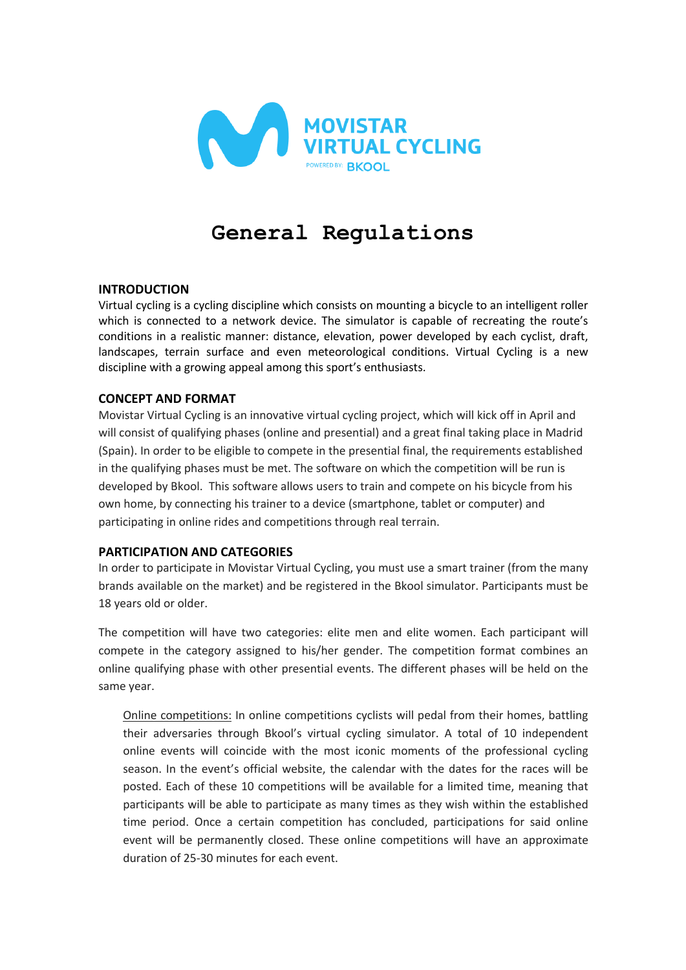

# **General Regulations**

## **INTRODUCTION**

Virtual cycling is a cycling discipline which consists on mounting a bicycle to an intelligent roller which is connected to a network device. The simulator is capable of recreating the route's conditions in a realistic manner: distance, elevation, power developed by each cyclist, draft, landscapes, terrain surface and even meteorological conditions. Virtual Cycling is a new discipline with a growing appeal among this sport's enthusiasts.

## **CONCEPT AND FORMAT**

Movistar Virtual Cycling is an innovative virtual cycling project, which will kick off in April and will consist of qualifying phases (online and presential) and a great final taking place in Madrid (Spain). In order to be eligible to compete in the presential final, the requirements established in the qualifying phases must be met. The software on which the competition will be run is developed by Bkool. This software allows users to train and compete on his bicycle from his own home, by connecting his trainer to a device (smartphone, tablet or computer) and participating in online rides and competitions through real terrain.

# **PARTICIPATION AND CATEGORIES**

In order to participate in Movistar Virtual Cycling, you must use a smart trainer (from the many brands available on the market) and be registered in the Bkool simulator. Participants must be 18 years old or older.

The competition will have two categories: elite men and elite women. Each participant will compete in the category assigned to his/her gender. The competition format combines an online qualifying phase with other presential events. The different phases will be held on the same year.

Online competitions: In online competitions cyclists will pedal from their homes, battling their adversaries through Bkool's virtual cycling simulator. A total of 10 independent online events will coincide with the most iconic moments of the professional cycling season. In the event's official website, the calendar with the dates for the races will be posted. Each of these 10 competitions will be available for a limited time, meaning that participants will be able to participate as many times as they wish within the established time period. Once a certain competition has concluded, participations for said online event will be permanently closed. These online competitions will have an approximate duration of 25-30 minutes for each event.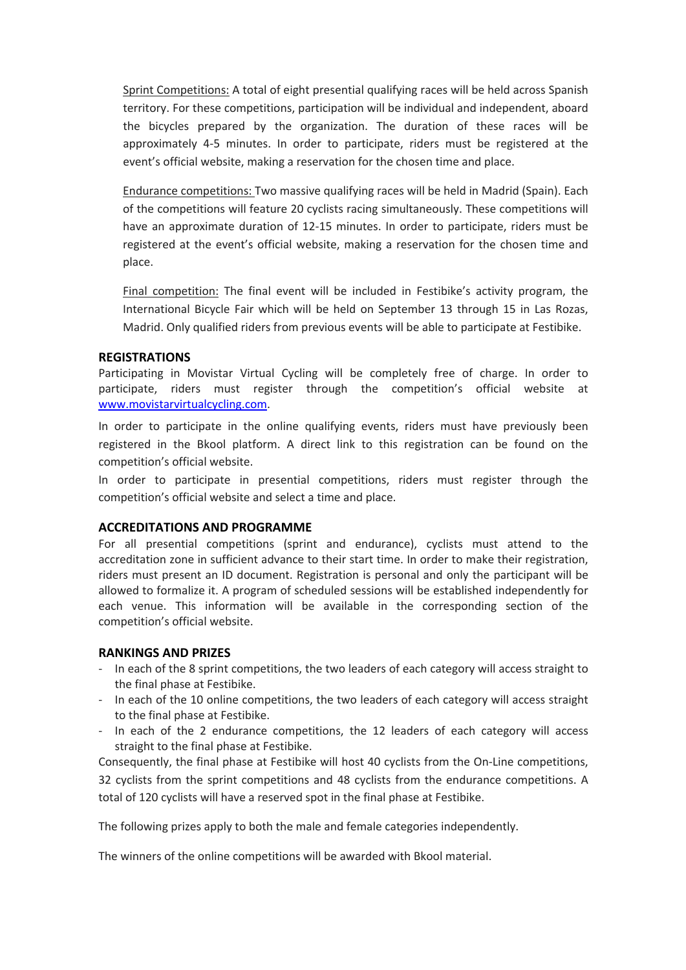Sprint Competitions: A total of eight presential qualifying races will be held across Spanish territory. For these competitions, participation will be individual and independent, aboard the bicycles prepared by the organization. The duration of these races will be approximately 4-5 minutes. In order to participate, riders must be registered at the event's official website, making a reservation for the chosen time and place.

Endurance competitions: Two massive qualifying races will be held in Madrid (Spain). Each of the competitions will feature 20 cyclists racing simultaneously. These competitions will have an approximate duration of 12-15 minutes. In order to participate, riders must be registered at the event's official website, making a reservation for the chosen time and place.

Final competition: The final event will be included in Festibike's activity program, the International Bicycle Fair which will be held on September 13 through 15 in Las Rozas, Madrid. Only qualified riders from previous events will be able to participate at Festibike.

#### **REGISTRATIONS**

Participating in Movistar Virtual Cycling will be completely free of charge. In order to participate, riders must register through the competition's official website at www.movistarvirtualcycling.com.

In order to participate in the online qualifying events, riders must have previously been registered in the Bkool platform. A direct link to this registration can be found on the competition's official website.

In order to participate in presential competitions, riders must register through the competition's official website and select a time and place.

## **ACCREDITATIONS AND PROGRAMME**

For all presential competitions (sprint and endurance), cyclists must attend to the accreditation zone in sufficient advance to their start time. In order to make their registration, riders must present an ID document. Registration is personal and only the participant will be allowed to formalize it. A program of scheduled sessions will be established independently for each venue. This information will be available in the corresponding section of the competition's official website.

## **RANKINGS AND PRIZES**

- In each of the 8 sprint competitions, the two leaders of each category will access straight to the final phase at Festibike.
- In each of the 10 online competitions, the two leaders of each category will access straight to the final phase at Festibike.
- In each of the 2 endurance competitions, the 12 leaders of each category will access straight to the final phase at Festibike.

Consequently, the final phase at Festibike will host 40 cyclists from the On-Line competitions, 32 cyclists from the sprint competitions and 48 cyclists from the endurance competitions. A total of 120 cyclists will have a reserved spot in the final phase at Festibike.

The following prizes apply to both the male and female categories independently.

The winners of the online competitions will be awarded with Bkool material.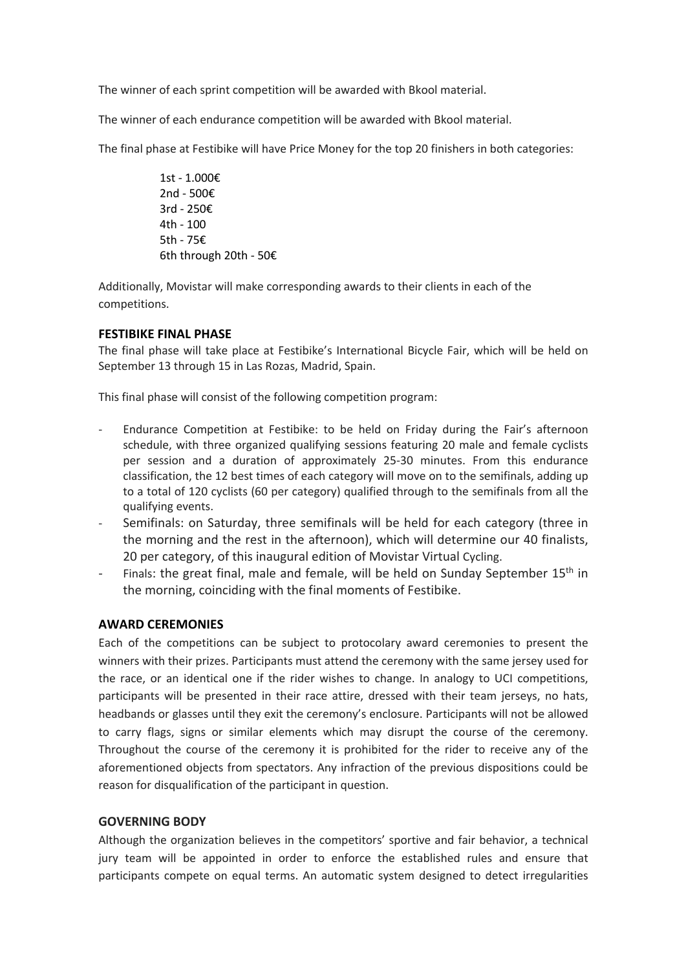The winner of each sprint competition will be awarded with Bkool material.

The winner of each endurance competition will be awarded with Bkool material.

The final phase at Festibike will have Price Money for the top 20 finishers in both categories:

1st - 1.000€ 2nd - 500€ 3rd - 250€ 4th - 100 5th - 75€ 6th through 20th - 50€

Additionally, Movistar will make corresponding awards to their clients in each of the competitions.

# **FESTIBIKE FINAL PHASE**

The final phase will take place at Festibike's International Bicycle Fair, which will be held on September 13 through 15 in Las Rozas, Madrid, Spain.

This final phase will consist of the following competition program:

- Endurance Competition at Festibike: to be held on Friday during the Fair's afternoon schedule, with three organized qualifying sessions featuring 20 male and female cyclists per session and a duration of approximately 25-30 minutes. From this endurance classification, the 12 best times of each category will move on to the semifinals, adding up to a total of 120 cyclists (60 per category) qualified through to the semifinals from all the qualifying events.
- Semifinals: on Saturday, three semifinals will be held for each category (three in the morning and the rest in the afternoon), which will determine our 40 finalists, 20 per category, of this inaugural edition of Movistar Virtual Cycling.
- Finals: the great final, male and female, will be held on Sunday September 15<sup>th</sup> in the morning, coinciding with the final moments of Festibike.

# **AWARD CEREMONIES**

Each of the competitions can be subject to protocolary award ceremonies to present the winners with their prizes. Participants must attend the ceremony with the same jersey used for the race, or an identical one if the rider wishes to change. In analogy to UCI competitions, participants will be presented in their race attire, dressed with their team jerseys, no hats, headbands or glasses until they exit the ceremony's enclosure. Participants will not be allowed to carry flags, signs or similar elements which may disrupt the course of the ceremony. Throughout the course of the ceremony it is prohibited for the rider to receive any of the aforementioned objects from spectators. Any infraction of the previous dispositions could be reason for disqualification of the participant in question.

# **GOVERNING BODY**

Although the organization believes in the competitors' sportive and fair behavior, a technical jury team will be appointed in order to enforce the established rules and ensure that participants compete on equal terms. An automatic system designed to detect irregularities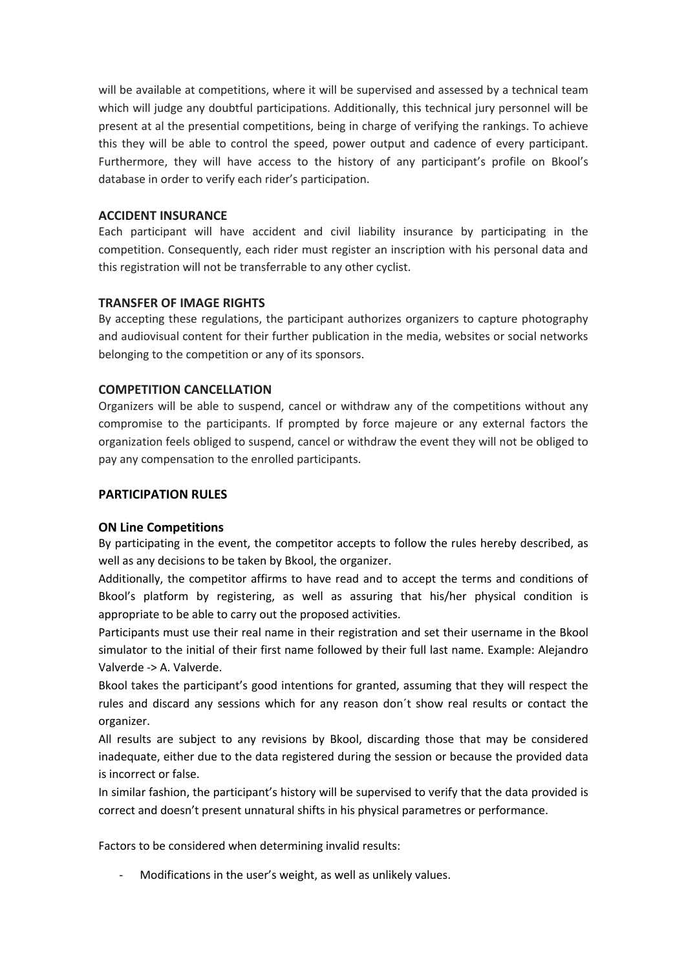will be available at competitions, where it will be supervised and assessed by a technical team which will judge any doubtful participations. Additionally, this technical jury personnel will be present at al the presential competitions, being in charge of verifying the rankings. To achieve this they will be able to control the speed, power output and cadence of every participant. Furthermore, they will have access to the history of any participant's profile on Bkool's database in order to verify each rider's participation.

## **ACCIDENT INSURANCE**

Each participant will have accident and civil liability insurance by participating in the competition. Consequently, each rider must register an inscription with his personal data and this registration will not be transferrable to any other cyclist.

## **TRANSFER OF IMAGE RIGHTS**

By accepting these regulations, the participant authorizes organizers to capture photography and audiovisual content for their further publication in the media, websites or social networks belonging to the competition or any of its sponsors.

## **COMPETITION CANCELLATION**

Organizers will be able to suspend, cancel or withdraw any of the competitions without any compromise to the participants. If prompted by force majeure or any external factors the organization feels obliged to suspend, cancel or withdraw the event they will not be obliged to pay any compensation to the enrolled participants.

## **PARTICIPATION RULES**

# **ON Line Competitions**

By participating in the event, the competitor accepts to follow the rules hereby described, as well as any decisions to be taken by Bkool, the organizer.

Additionally, the competitor affirms to have read and to accept the terms and conditions of Bkool's platform by registering, as well as assuring that his/her physical condition is appropriate to be able to carry out the proposed activities.

Participants must use their real name in their registration and set their username in the Bkool simulator to the initial of their first name followed by their full last name. Example: Alejandro Valverde -> A. Valverde.

Bkool takes the participant's good intentions for granted, assuming that they will respect the rules and discard any sessions which for any reason don´t show real results or contact the organizer.

All results are subject to any revisions by Bkool, discarding those that may be considered inadequate, either due to the data registered during the session or because the provided data is incorrect or false.

In similar fashion, the participant's history will be supervised to verify that the data provided is correct and doesn't present unnatural shifts in his physical parametres or performance.

Factors to be considered when determining invalid results:

Modifications in the user's weight, as well as unlikely values.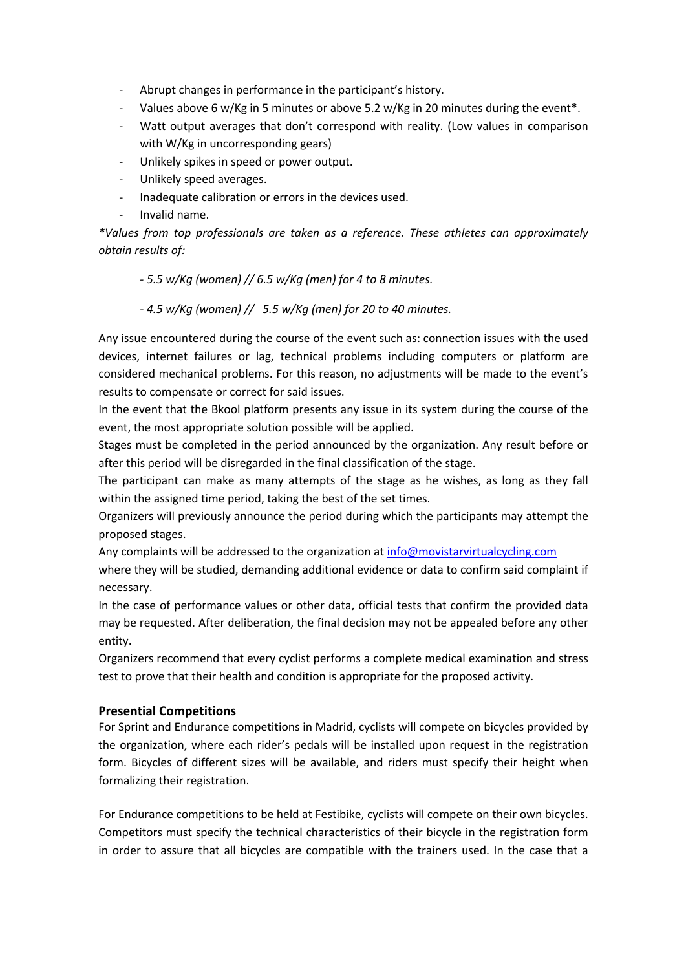- Abrupt changes in performance in the participant's history.
- Values above 6 w/Kg in 5 minutes or above 5.2 w/Kg in 20 minutes during the event\*.
- Watt output averages that don't correspond with reality. (Low values in comparison with W/Kg in uncorresponding gears)
- Unlikely spikes in speed or power output.
- Unlikely speed averages.
- Inadequate calibration or errors in the devices used.
- Invalid name.

*\*Values from top professionals are taken as a reference. These athletes can approximately obtain results of:* 

## *- 5.5 w/Kg (women) // 6.5 w/Kg (men) for 4 to 8 minutes.*

*- 4.5 w/Kg (women) // 5.5 w/Kg (men) for 20 to 40 minutes.*

Any issue encountered during the course of the event such as: connection issues with the used devices, internet failures or lag, technical problems including computers or platform are considered mechanical problems. For this reason, no adjustments will be made to the event's results to compensate or correct for said issues.

In the event that the Bkool platform presents any issue in its system during the course of the event, the most appropriate solution possible will be applied.

Stages must be completed in the period announced by the organization. Any result before or after this period will be disregarded in the final classification of the stage.

The participant can make as many attempts of the stage as he wishes, as long as they fall within the assigned time period, taking the best of the set times.

Organizers will previously announce the period during which the participants may attempt the proposed stages.

Any complaints will be addressed to the organization at info@movistarvirtualcycling.com

where they will be studied, demanding additional evidence or data to confirm said complaint if necessary.

In the case of performance values or other data, official tests that confirm the provided data may be requested. After deliberation, the final decision may not be appealed before any other entity.

Organizers recommend that every cyclist performs a complete medical examination and stress test to prove that their health and condition is appropriate for the proposed activity.

## **Presential Competitions**

For Sprint and Endurance competitions in Madrid, cyclists will compete on bicycles provided by the organization, where each rider's pedals will be installed upon request in the registration form. Bicycles of different sizes will be available, and riders must specify their height when formalizing their registration.

For Endurance competitions to be held at Festibike, cyclists will compete on their own bicycles. Competitors must specify the technical characteristics of their bicycle in the registration form in order to assure that all bicycles are compatible with the trainers used. In the case that a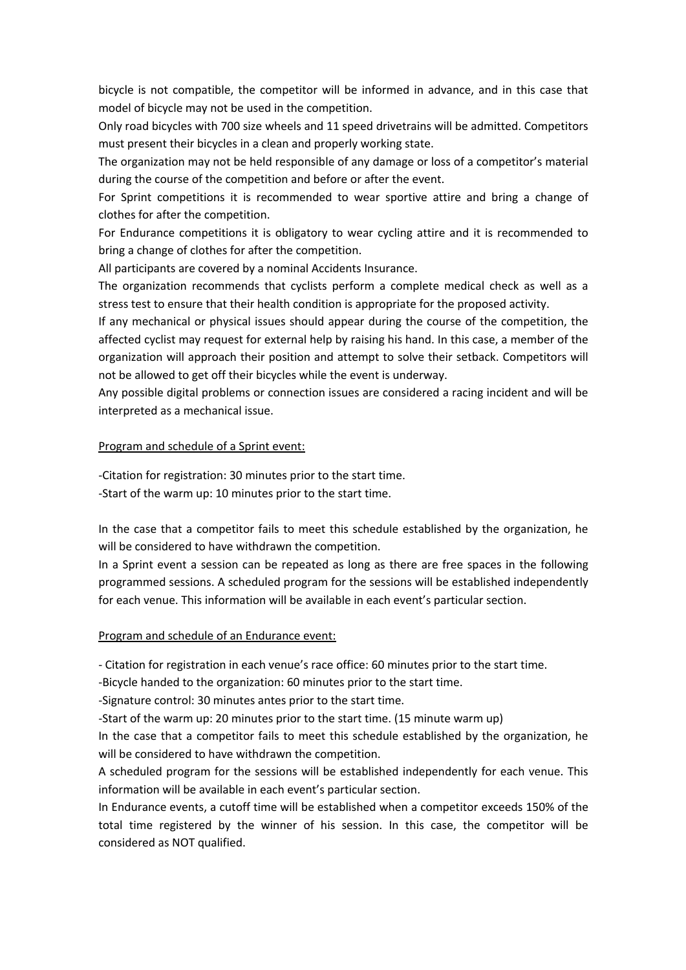bicycle is not compatible, the competitor will be informed in advance, and in this case that model of bicycle may not be used in the competition.

Only road bicycles with 700 size wheels and 11 speed drivetrains will be admitted. Competitors must present their bicycles in a clean and properly working state.

The organization may not be held responsible of any damage or loss of a competitor's material during the course of the competition and before or after the event.

For Sprint competitions it is recommended to wear sportive attire and bring a change of clothes for after the competition.

For Endurance competitions it is obligatory to wear cycling attire and it is recommended to bring a change of clothes for after the competition.

All participants are covered by a nominal Accidents Insurance.

The organization recommends that cyclists perform a complete medical check as well as a stress test to ensure that their health condition is appropriate for the proposed activity.

If any mechanical or physical issues should appear during the course of the competition, the affected cyclist may request for external help by raising his hand. In this case, a member of the organization will approach their position and attempt to solve their setback. Competitors will not be allowed to get off their bicycles while the event is underway.

Any possible digital problems or connection issues are considered a racing incident and will be interpreted as a mechanical issue.

## Program and schedule of a Sprint event:

-Citation for registration: 30 minutes prior to the start time.

-Start of the warm up: 10 minutes prior to the start time.

In the case that a competitor fails to meet this schedule established by the organization, he will be considered to have withdrawn the competition.

In a Sprint event a session can be repeated as long as there are free spaces in the following programmed sessions. A scheduled program for the sessions will be established independently for each venue. This information will be available in each event's particular section.

## Program and schedule of an Endurance event:

- Citation for registration in each venue's race office: 60 minutes prior to the start time.

-Bicycle handed to the organization: 60 minutes prior to the start time.

-Signature control: 30 minutes antes prior to the start time.

-Start of the warm up: 20 minutes prior to the start time. (15 minute warm up)

In the case that a competitor fails to meet this schedule established by the organization, he will be considered to have withdrawn the competition.

A scheduled program for the sessions will be established independently for each venue. This information will be available in each event's particular section.

In Endurance events, a cutoff time will be established when a competitor exceeds 150% of the total time registered by the winner of his session. In this case, the competitor will be considered as NOT qualified.